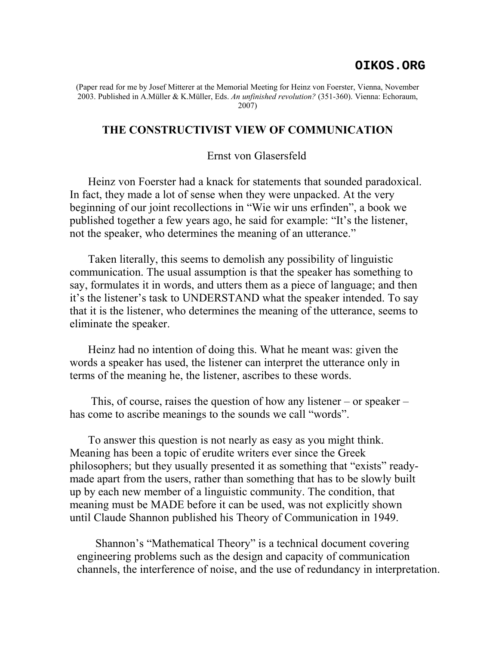## **OIKOS.ORG**

(Paper read for me by Josef Mitterer at the Memorial Meeting for Heinz von Foerster, Vienna, November 2003. Published in A.Müller & K.Müller, Eds. *An unfinished revolution?* (351-360). Vienna: Echoraum, 2007)

## **THE CONSTRUCTIVIST VIEW OF COMMUNICATION**

## Ernst von Glasersfeld

Heinz von Foerster had a knack for statements that sounded paradoxical. In fact, they made a lot of sense when they were unpacked. At the very beginning of our joint recollections in "Wie wir uns erfinden", a book we published together a few years ago, he said for example: "It's the listener, not the speaker, who determines the meaning of an utterance."

Taken literally, this seems to demolish any possibility of linguistic communication. The usual assumption is that the speaker has something to say, formulates it in words, and utters them as a piece of language; and then it's the listener's task to UNDERSTAND what the speaker intended. To say that it is the listener, who determines the meaning of the utterance, seems to eliminate the speaker.

Heinz had no intention of doing this. What he meant was: given the words a speaker has used, the listener can interpret the utterance only in terms of the meaning he, the listener, ascribes to these words.

 This, of course, raises the question of how any listener – or speaker – has come to ascribe meanings to the sounds we call "words".

To answer this question is not nearly as easy as you might think. Meaning has been a topic of erudite writers ever since the Greek philosophers; but they usually presented it as something that "exists" readymade apart from the users, rather than something that has to be slowly built up by each new member of a linguistic community. The condition, that meaning must be MADE before it can be used, was not explicitly shown until Claude Shannon published his Theory of Communication in 1949.

Shannon's "Mathematical Theory" is a technical document covering engineering problems such as the design and capacity of communication channels, the interference of noise, and the use of redundancy in interpretation.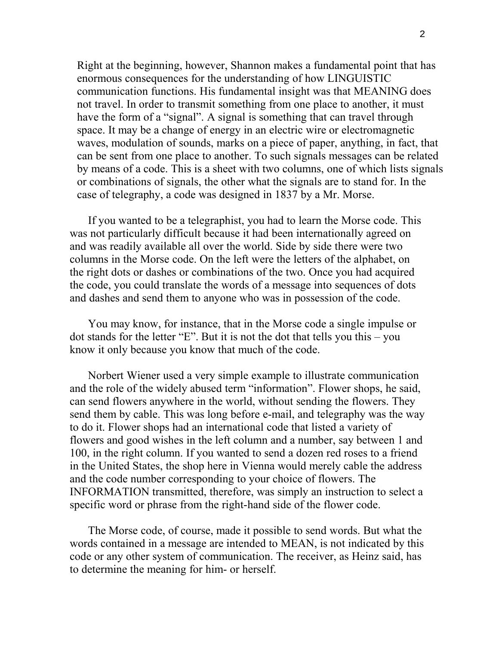Right at the beginning, however, Shannon makes a fundamental point that has enormous consequences for the understanding of how LINGUISTIC communication functions. His fundamental insight was that MEANING does not travel. In order to transmit something from one place to another, it must have the form of a "signal". A signal is something that can travel through space. It may be a change of energy in an electric wire or electromagnetic waves, modulation of sounds, marks on a piece of paper, anything, in fact, that can be sent from one place to another. To such signals messages can be related by means of a code. This is a sheet with two columns, one of which lists signals or combinations of signals, the other what the signals are to stand for. In the case of telegraphy, a code was designed in 1837 by a Mr. Morse.

If you wanted to be a telegraphist, you had to learn the Morse code. This was not particularly difficult because it had been internationally agreed on and was readily available all over the world. Side by side there were two columns in the Morse code. On the left were the letters of the alphabet, on the right dots or dashes or combinations of the two. Once you had acquired the code, you could translate the words of a message into sequences of dots and dashes and send them to anyone who was in possession of the code.

You may know, for instance, that in the Morse code a single impulse or dot stands for the letter "E". But it is not the dot that tells you this – you know it only because you know that much of the code.

Norbert Wiener used a very simple example to illustrate communication and the role of the widely abused term "information". Flower shops, he said, can send flowers anywhere in the world, without sending the flowers. They send them by cable. This was long before e-mail, and telegraphy was the way to do it. Flower shops had an international code that listed a variety of flowers and good wishes in the left column and a number, say between 1 and 100, in the right column. If you wanted to send a dozen red roses to a friend in the United States, the shop here in Vienna would merely cable the address and the code number corresponding to your choice of flowers. The INFORMATION transmitted, therefore, was simply an instruction to select a specific word or phrase from the right-hand side of the flower code.

The Morse code, of course, made it possible to send words. But what the words contained in a message are intended to MEAN, is not indicated by this code or any other system of communication. The receiver, as Heinz said, has to determine the meaning for him- or herself.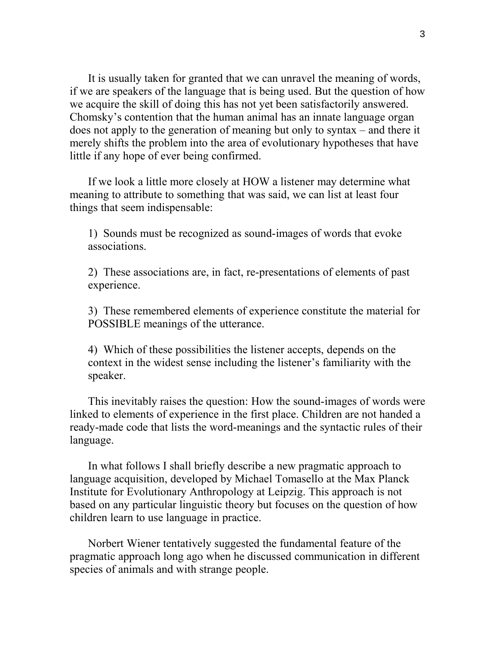It is usually taken for granted that we can unravel the meaning of words, if we are speakers of the language that is being used. But the question of how we acquire the skill of doing this has not yet been satisfactorily answered. Chomsky's contention that the human animal has an innate language organ does not apply to the generation of meaning but only to syntax – and there it merely shifts the problem into the area of evolutionary hypotheses that have little if any hope of ever being confirmed.

If we look a little more closely at HOW a listener may determine what meaning to attribute to something that was said, we can list at least four things that seem indispensable:

1) Sounds must be recognized as sound-images of words that evoke associations.

2) These associations are, in fact, re-presentations of elements of past experience.

3) These remembered elements of experience constitute the material for POSSIBLE meanings of the utterance.

4) Which of these possibilities the listener accepts, depends on the context in the widest sense including the listener's familiarity with the speaker.

This inevitably raises the question: How the sound-images of words were linked to elements of experience in the first place. Children are not handed a ready-made code that lists the word-meanings and the syntactic rules of their language.

In what follows I shall briefly describe a new pragmatic approach to language acquisition, developed by Michael Tomasello at the Max Planck Institute for Evolutionary Anthropology at Leipzig. This approach is not based on any particular linguistic theory but focuses on the question of how children learn to use language in practice.

Norbert Wiener tentatively suggested the fundamental feature of the pragmatic approach long ago when he discussed communication in different species of animals and with strange people.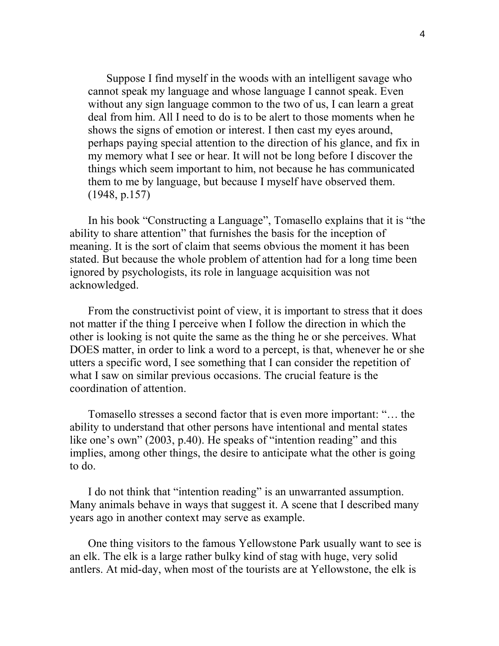Suppose I find myself in the woods with an intelligent savage who cannot speak my language and whose language I cannot speak. Even without any sign language common to the two of us, I can learn a great deal from him. All I need to do is to be alert to those moments when he shows the signs of emotion or interest. I then cast my eyes around, perhaps paying special attention to the direction of his glance, and fix in my memory what I see or hear. It will not be long before I discover the things which seem important to him, not because he has communicated them to me by language, but because I myself have observed them. (1948, p.157)

In his book "Constructing a Language", Tomasello explains that it is "the ability to share attention" that furnishes the basis for the inception of meaning. It is the sort of claim that seems obvious the moment it has been stated. But because the whole problem of attention had for a long time been ignored by psychologists, its role in language acquisition was not acknowledged.

From the constructivist point of view, it is important to stress that it does not matter if the thing I perceive when I follow the direction in which the other is looking is not quite the same as the thing he or she perceives. What DOES matter, in order to link a word to a percept, is that, whenever he or she utters a specific word, I see something that I can consider the repetition of what I saw on similar previous occasions. The crucial feature is the coordination of attention.

Tomasello stresses a second factor that is even more important: "… the ability to understand that other persons have intentional and mental states like one's own" (2003, p.40). He speaks of "intention reading" and this implies, among other things, the desire to anticipate what the other is going to do.

I do not think that "intention reading" is an unwarranted assumption. Many animals behave in ways that suggest it. A scene that I described many years ago in another context may serve as example.

One thing visitors to the famous Yellowstone Park usually want to see is an elk. The elk is a large rather bulky kind of stag with huge, very solid antlers. At mid-day, when most of the tourists are at Yellowstone, the elk is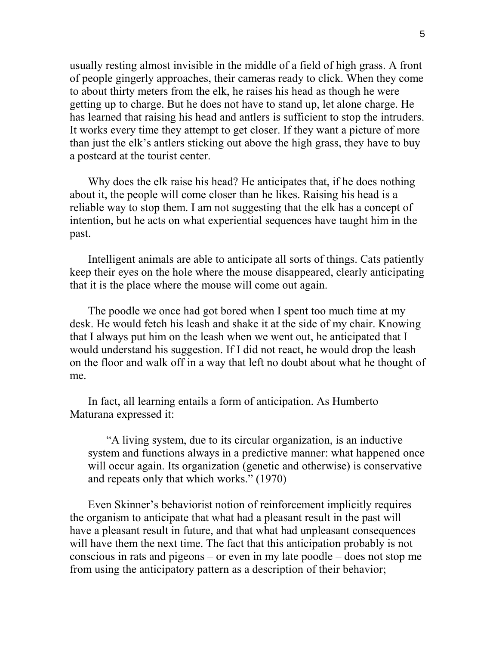usually resting almost invisible in the middle of a field of high grass. A front of people gingerly approaches, their cameras ready to click. When they come to about thirty meters from the elk, he raises his head as though he were getting up to charge. But he does not have to stand up, let alone charge. He has learned that raising his head and antlers is sufficient to stop the intruders. It works every time they attempt to get closer. If they want a picture of more than just the elk's antlers sticking out above the high grass, they have to buy a postcard at the tourist center.

Why does the elk raise his head? He anticipates that, if he does nothing about it, the people will come closer than he likes. Raising his head is a reliable way to stop them. I am not suggesting that the elk has a concept of intention, but he acts on what experiential sequences have taught him in the past.

Intelligent animals are able to anticipate all sorts of things. Cats patiently keep their eyes on the hole where the mouse disappeared, clearly anticipating that it is the place where the mouse will come out again.

The poodle we once had got bored when I spent too much time at my desk. He would fetch his leash and shake it at the side of my chair. Knowing that I always put him on the leash when we went out, he anticipated that I would understand his suggestion. If I did not react, he would drop the leash on the floor and walk off in a way that left no doubt about what he thought of me.

In fact, all learning entails a form of anticipation. As Humberto Maturana expressed it:

"A living system, due to its circular organization, is an inductive system and functions always in a predictive manner: what happened once will occur again. Its organization (genetic and otherwise) is conservative and repeats only that which works." (1970)

Even Skinner's behaviorist notion of reinforcement implicitly requires the organism to anticipate that what had a pleasant result in the past will have a pleasant result in future, and that what had unpleasant consequences will have them the next time. The fact that this anticipation probably is not conscious in rats and pigeons – or even in my late poodle – does not stop me from using the anticipatory pattern as a description of their behavior;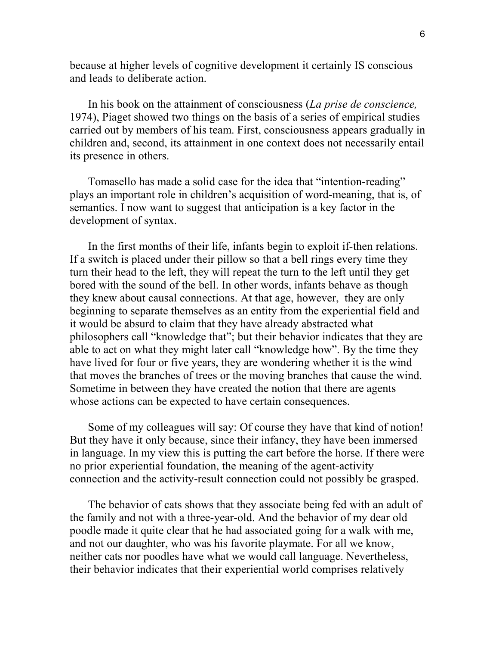because at higher levels of cognitive development it certainly IS conscious and leads to deliberate action.

In his book on the attainment of consciousness (*La prise de conscience,* 1974), Piaget showed two things on the basis of a series of empirical studies carried out by members of his team. First, consciousness appears gradually in children and, second, its attainment in one context does not necessarily entail its presence in others.

Tomasello has made a solid case for the idea that "intention-reading" plays an important role in children's acquisition of word-meaning, that is, of semantics. I now want to suggest that anticipation is a key factor in the development of syntax.

In the first months of their life, infants begin to exploit if-then relations. If a switch is placed under their pillow so that a bell rings every time they turn their head to the left, they will repeat the turn to the left until they get bored with the sound of the bell. In other words, infants behave as though they knew about causal connections. At that age, however, they are only beginning to separate themselves as an entity from the experiential field and it would be absurd to claim that they have already abstracted what philosophers call "knowledge that"; but their behavior indicates that they are able to act on what they might later call "knowledge how". By the time they have lived for four or five years, they are wondering whether it is the wind that moves the branches of trees or the moving branches that cause the wind. Sometime in between they have created the notion that there are agents whose actions can be expected to have certain consequences.

Some of my colleagues will say: Of course they have that kind of notion! But they have it only because, since their infancy, they have been immersed in language. In my view this is putting the cart before the horse. If there were no prior experiential foundation, the meaning of the agent-activity connection and the activity-result connection could not possibly be grasped.

The behavior of cats shows that they associate being fed with an adult of the family and not with a three-year-old. And the behavior of my dear old poodle made it quite clear that he had associated going for a walk with me, and not our daughter, who was his favorite playmate. For all we know, neither cats nor poodles have what we would call language. Nevertheless, their behavior indicates that their experiential world comprises relatively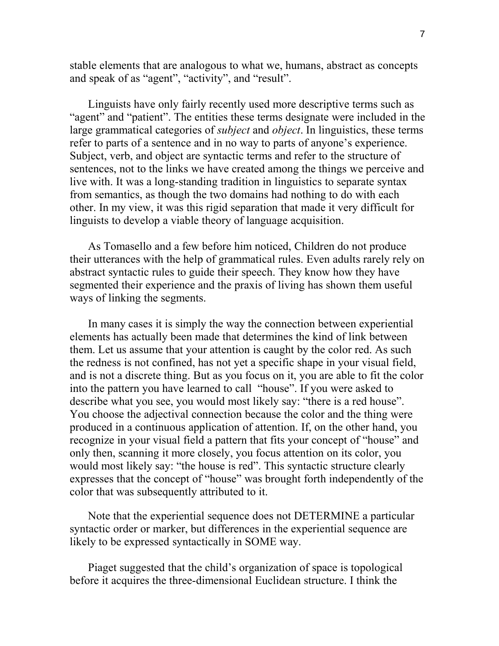stable elements that are analogous to what we, humans, abstract as concepts and speak of as "agent", "activity", and "result".

Linguists have only fairly recently used more descriptive terms such as "agent" and "patient". The entities these terms designate were included in the large grammatical categories of *subject* and *object*. In linguistics, these terms refer to parts of a sentence and in no way to parts of anyone's experience. Subject, verb, and object are syntactic terms and refer to the structure of sentences, not to the links we have created among the things we perceive and live with. It was a long-standing tradition in linguistics to separate syntax from semantics, as though the two domains had nothing to do with each other. In my view, it was this rigid separation that made it very difficult for linguists to develop a viable theory of language acquisition.

As Tomasello and a few before him noticed, Children do not produce their utterances with the help of grammatical rules. Even adults rarely rely on abstract syntactic rules to guide their speech. They know how they have segmented their experience and the praxis of living has shown them useful ways of linking the segments.

In many cases it is simply the way the connection between experiential elements has actually been made that determines the kind of link between them. Let us assume that your attention is caught by the color red. As such the redness is not confined, has not yet a specific shape in your visual field, and is not a discrete thing. But as you focus on it, you are able to fit the color into the pattern you have learned to call "house". If you were asked to describe what you see, you would most likely say: "there is a red house". You choose the adjectival connection because the color and the thing were produced in a continuous application of attention. If, on the other hand, you recognize in your visual field a pattern that fits your concept of "house" and only then, scanning it more closely, you focus attention on its color, you would most likely say: "the house is red". This syntactic structure clearly expresses that the concept of "house" was brought forth independently of the color that was subsequently attributed to it.

Note that the experiential sequence does not DETERMINE a particular syntactic order or marker, but differences in the experiential sequence are likely to be expressed syntactically in SOME way.

Piaget suggested that the child's organization of space is topological before it acquires the three-dimensional Euclidean structure. I think the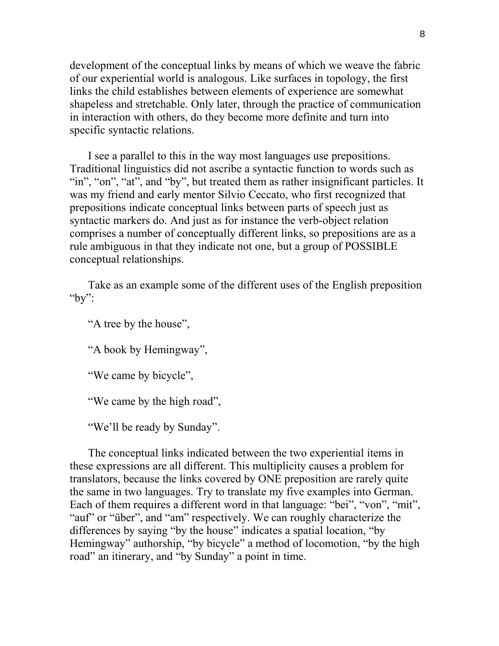development of the conceptual links by means of which we weave the fabric of our experiential world is analogous. Like surfaces in topology, the first links the child establishes between elements of experience are somewhat shapeless and stretchable. Only later, through the practice of communication in interaction with others, do they become more definite and turn into specific syntactic relations.

I see a parallel to this in the way most languages use prepositions. Traditional linguistics did not ascribe a syntactic function to words such as "in", "on", "at", and "by", but treated them as rather insignificant particles. It was my friend and early mentor Silvio Ceccato, who first recognized that prepositions indicate conceptual links between parts of speech just as syntactic markers do. And just as for instance the verb-object relation comprises a number of conceptually different links, so prepositions are as a rule ambiguous in that they indicate not one, but a group of POSSIBLE conceptual relationships.

Take as an example some of the different uses of the English preposition "by":

"A tree by the house",

"A book by Hemingway",

"We came by bicycle",

"We came by the high road",

"We'll be ready by Sunday".

The conceptual links indicated between the two experiential items in these expressions are all different. This multiplicity causes a problem for translators, because the links covered by ONE preposition are rarely quite the same in two languages. Try to translate my five examples into German. Each of them requires a different word in that language: "bei", "von", "mit", "auf" or "über", and "am" respectively. We can roughly characterize the differences by saying "by the house" indicates a spatial location, "by Hemingway" authorship, "by bicycle" a method of locomotion, "by the high road" an itinerary, and "by Sunday" a point in time.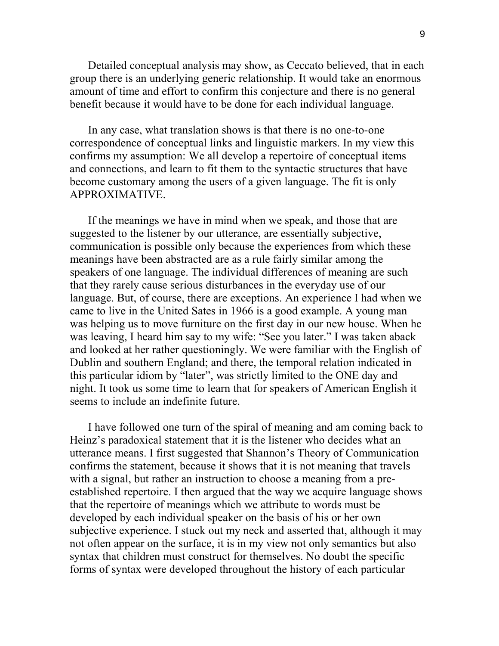Detailed conceptual analysis may show, as Ceccato believed, that in each group there is an underlying generic relationship. It would take an enormous amount of time and effort to confirm this conjecture and there is no general benefit because it would have to be done for each individual language.

In any case, what translation shows is that there is no one-to-one correspondence of conceptual links and linguistic markers. In my view this confirms my assumption: We all develop a repertoire of conceptual items and connections, and learn to fit them to the syntactic structures that have become customary among the users of a given language. The fit is only APPROXIMATIVE.

If the meanings we have in mind when we speak, and those that are suggested to the listener by our utterance, are essentially subjective, communication is possible only because the experiences from which these meanings have been abstracted are as a rule fairly similar among the speakers of one language. The individual differences of meaning are such that they rarely cause serious disturbances in the everyday use of our language. But, of course, there are exceptions. An experience I had when we came to live in the United Sates in 1966 is a good example. A young man was helping us to move furniture on the first day in our new house. When he was leaving, I heard him say to my wife: "See you later." I was taken aback and looked at her rather questioningly. We were familiar with the English of Dublin and southern England; and there, the temporal relation indicated in this particular idiom by "later", was strictly limited to the ONE day and night. It took us some time to learn that for speakers of American English it seems to include an indefinite future.

I have followed one turn of the spiral of meaning and am coming back to Heinz's paradoxical statement that it is the listener who decides what an utterance means. I first suggested that Shannon's Theory of Communication confirms the statement, because it shows that it is not meaning that travels with a signal, but rather an instruction to choose a meaning from a preestablished repertoire. I then argued that the way we acquire language shows that the repertoire of meanings which we attribute to words must be developed by each individual speaker on the basis of his or her own subjective experience. I stuck out my neck and asserted that, although it may not often appear on the surface, it is in my view not only semantics but also syntax that children must construct for themselves. No doubt the specific forms of syntax were developed throughout the history of each particular